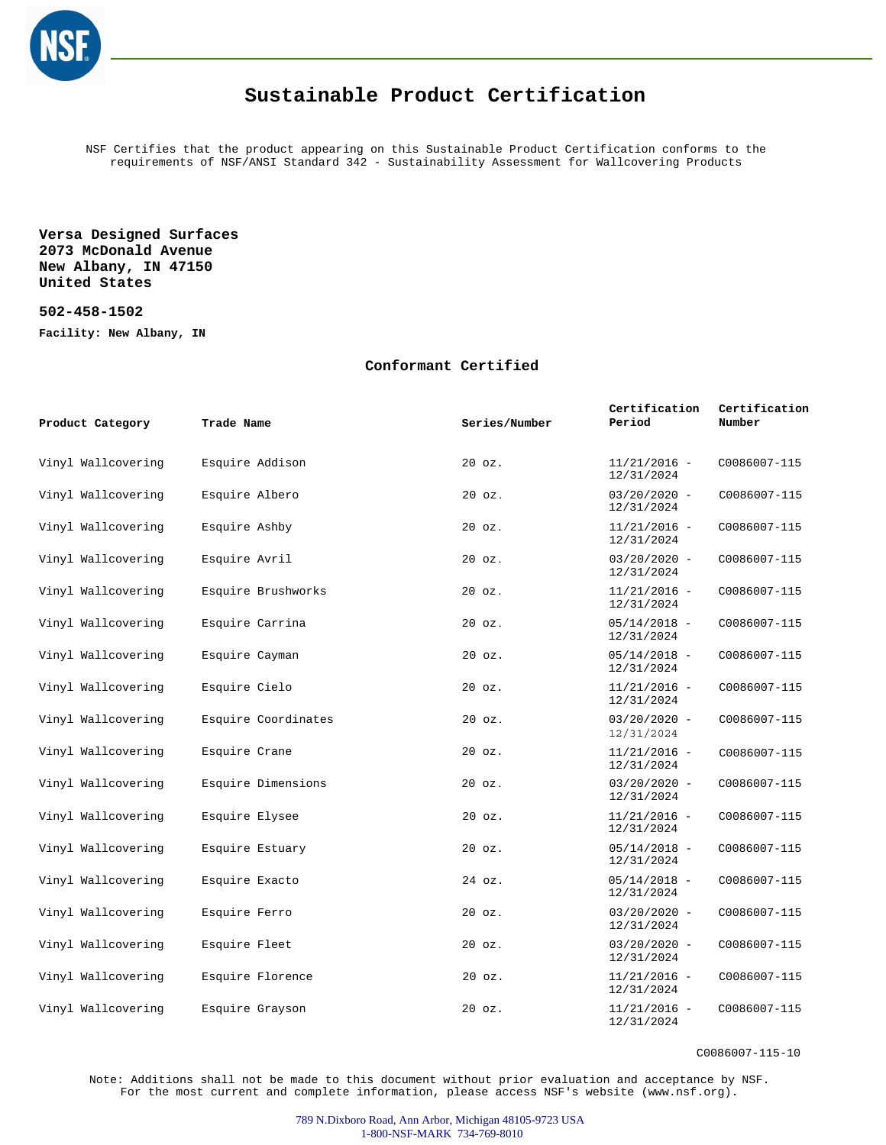

## **Sustainable Product Certification**

NSF Certifies that the product appearing on this Sustainable Product Certification conforms to the requirements of NSF/ANSI Standard 342 - Sustainability Assessment for Wallcovering Products

**Versa Designed Surfaces 2073 McDonald Avenue New Albany, IN 47150 United States**

**502-458-1502**

**Facility: New Albany, IN**

## **Conformant Certified**

| Product Category   | Trade Name          | Series/Number | Certification<br>Period      | Certification<br>Number |
|--------------------|---------------------|---------------|------------------------------|-------------------------|
| Vinyl Wallcovering | Esquire Addison     | $20$ $oz.$    | $11/21/2016 -$<br>12/31/2024 | C0086007-115            |
| Vinyl Wallcovering | Esquire Albero      | $20$ $oz.$    | $03/20/2020 -$<br>12/31/2024 | C0086007-115            |
| Vinyl Wallcovering | Esquire Ashby       | $20$ $oz.$    | $11/21/2016 -$<br>12/31/2024 | C0086007-115            |
| Vinyl Wallcovering | Esquire Avril       | $20$ $oz.$    | $03/20/2020 -$<br>12/31/2024 | C0086007-115            |
| Vinyl Wallcovering | Esquire Brushworks  | 20 oz.        | $11/21/2016 -$<br>12/31/2024 | C0086007-115            |
| Vinyl Wallcovering | Esquire Carrina     | $20$ $oz.$    | $05/14/2018 -$<br>12/31/2024 | C0086007-115            |
| Vinyl Wallcovering | Esquire Cayman      | $20$ $oz.$    | $05/14/2018 -$<br>12/31/2024 | C0086007-115            |
| Vinyl Wallcovering | Esquire Cielo       | $20$ $oz.$    | $11/21/2016 -$<br>12/31/2024 | C0086007-115            |
| Vinyl Wallcovering | Esquire Coordinates | $20$ $oz.$    | $03/20/2020 -$<br>12/31/2024 | C0086007-115            |
| Vinyl Wallcovering | Esquire Crane       | $20$ $oz.$    | $11/21/2016 -$<br>12/31/2024 | C0086007-115            |
| Vinyl Wallcovering | Esquire Dimensions  | $20$ $oz.$    | $03/20/2020 -$<br>12/31/2024 | C0086007-115            |
| Vinyl Wallcovering | Esquire Elysee      | $20$ $oz.$    | $11/21/2016 -$<br>12/31/2024 | C0086007-115            |
| Vinyl Wallcovering | Esquire Estuary     | $20$ $oz.$    | $05/14/2018 -$<br>12/31/2024 | C0086007-115            |
| Vinyl Wallcovering | Esquire Exacto      | 24 oz.        | $05/14/2018 -$<br>12/31/2024 | C0086007-115            |
| Vinyl Wallcovering | Esquire Ferro       | $20$ $oz.$    | $03/20/2020 -$<br>12/31/2024 | C0086007-115            |
| Vinyl Wallcovering | Esquire Fleet       | 20 oz.        | $03/20/2020 -$<br>12/31/2024 | C0086007-115            |
| Vinyl Wallcovering | Esquire Florence    | $20$ $oz.$    | $11/21/2016 -$<br>12/31/2024 | C0086007-115            |
| Vinyl Wallcovering | Esquire Grayson     | 20 oz.        | $11/21/2016 -$<br>12/31/2024 | C0086007-115            |

C0086007-115-10

Note: Additions shall not be made to this document without prior evaluation and acceptance by NSF. For the most current and complete information, please access NSF's website (www.nsf.org).